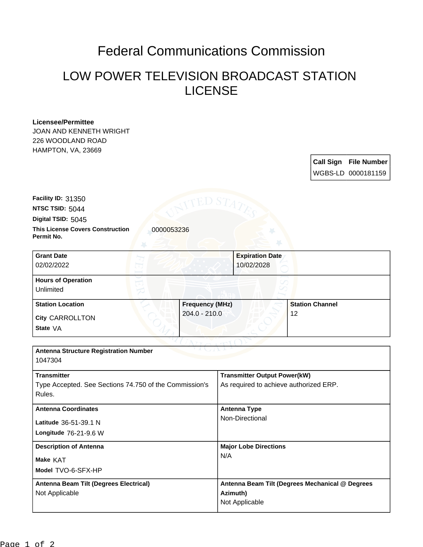## Federal Communications Commission

## LOW POWER TELEVISION BROADCAST STATION LICENSE

## **Licensee/Permittee**

JOAN AND KENNETH WRIGHT 226 WOODLAND ROAD HAMPTON, VA, 23669

> **Call Sign File Number** WGBS-LD 0000181159

**This License Covers Construction 10000053236 Permit No. Digital TSID:** 5045 **NTSC TSID:** 5044 **Facility ID:** 31350

| <b>Grant Date</b><br>02/02/2022        | <b>Expiration Date</b><br>10/02/2028 |                        |
|----------------------------------------|--------------------------------------|------------------------|
| <b>Hours of Operation</b><br>Unlimited |                                      |                        |
| <b>Station Location</b>                | <b>Frequency (MHz)</b>               | <b>Station Channel</b> |
| <b>City CARROLLTON</b><br>State VA     | $204.0 - 210.0$                      | 12                     |

| <b>Antenna Structure Registration Number</b><br>1047304 |                                                 |
|---------------------------------------------------------|-------------------------------------------------|
| <b>Transmitter</b>                                      | <b>Transmitter Output Power(kW)</b>             |
| Type Accepted. See Sections 74.750 of the Commission's  | As required to achieve authorized ERP.          |
| Rules.                                                  |                                                 |
| <b>Antenna Coordinates</b>                              | Antenna Type                                    |
| Latitude 36-51-39.1 N                                   | Non-Directional                                 |
| Longitude 76-21-9.6 W                                   |                                                 |
| <b>Description of Antenna</b>                           | <b>Major Lobe Directions</b>                    |
| Make KAT                                                | N/A                                             |
| Model TVO-6-SFX-HP                                      |                                                 |
| Antenna Beam Tilt (Degrees Electrical)                  | Antenna Beam Tilt (Degrees Mechanical @ Degrees |
| Not Applicable                                          | Azimuth)                                        |
|                                                         | Not Applicable                                  |